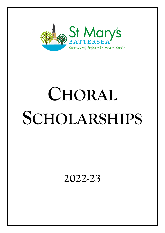

# **CHORAL SCHOLARSHIPS**

**2022-23**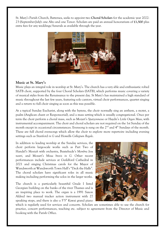St. Mary's Parish Church, Battersea, seeks to appoint two **Choral Scholars** for the academic year 2022- 23 (September-July): one Alto and one Tenor. Scholars are paid an annual honorarium of **£1,500** plus extra fees for any weddings/funerals as available through the year.



#### **Music at St. Mary's**

Music plays an integral role in worship at St. Mary's. The church has a very able and enthusiastic robed SATB choir, supported by the four Choral Scholars (SATB), which performs music covering a variety of musical styles from the Renaissance to the present day. St Mary's has maintained a high standard of music throughout the last few years, featuring solo cantors, virtual choir performances, quartet singing and a return to full choir singing as soon as this was possible.

At a typical Sunday Eucharist, along with the hymns, the choir normally sing an anthem, a motet, a psalm (Anglican chant or Responsorial), and a mass setting which is usually congregational. Once per term the choir perform a choral mass, such as Mozart's *Spatzenmesse* or Haydn's *Little Organ Mass*, with instrumental accompaniment. The choir and choral scholars are not required on the 1st Sunday of the month except in occasional circumstances. Evensong is sung on the 2<sup>nd</sup> and 4<sup>th</sup> Sundays of the month. These are full choral evensongs which allow the choir to explore more repertoire including evening settings such as Stanford *in G* and Howells *Collegium Regale*.

In addition to leading worship at the Sunday services, the choir perform large-scale works such as Part Two of Handel's *Messiah* with orchestra, Buxtehude's *Membra Jesu nostri,* and Mozart's *Missa brevis in G.* Other recent performances include services at Guildford Cathedral in 2021 and singing Christmas carols for the Mayor of Wandsworth at Wandsworth Town Hall's "Deck the Halls". The choral scholars have significant roles in all music making including performing the solos in the larger works.

The church is a particularly beautiful Grade I listed Georgian building on the banks of the river Thames and is an inspiring place to work. The organ is a 1991 Saxon Aldred two manual tracker action instrument with 27 speaking stops, and there is also a 5'5" Kawai grand piano



which is regularly used for services and concerts. Scholars are sometimes able to use the church for practice, concert performances, teaching etc. subject to agreement from the Director of Music and booking with the Parish Office.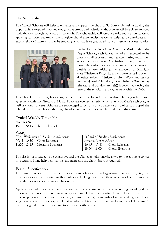### **The Scholarships**

The Choral Scholars will help to enhance and support the choir of St. Mary's. As well as having the opportunity to expand their knowledge of repertoire and technique, the scholars will be able to improve their abilities through leadership of the choir. The scholarship will serve as a solid foundation for those applying for cathedral/university/collegiate choral scholarships, as well as helping to consolidate and expand skills of those who may be studying at or who have graduated from university or conservatoire.



Under the direction of the Director of Music and/or the Organ Scholar, each Choral Scholar is expected to be present at all rehearsals and services during term time, as well as major Feast Days (Advent, Holy Week and Easter, Ascension Day, etc.) and concerts which may fall outside of term. Although *not* expected for Midnight Mass/Christmas Day, scholars will be expected to attend all other Advent, Christmas, Holy Week and Easter services. 4 weeks' holiday (a week being a Wednesday rehearsal and Sunday service(s)) is permitted during the term of the scholarship by agreement with the DoM.

The Choral Scholars may have many opportunities for solo performances through the year by mutual agreement with the Director of Music. There are two recital series which run at St Mary's each year, as well as choral concerts. Scholars are encouraged to perform as a quartet or as soloists. It is hoped the Choral Scholars will have a thorough involvement in the music making and life of the church.

## **Typical Weekly Timetable** Wednesday

19:30 - 20:45 Choir Rehearsal

#### Sunday

*(Every Week except 1st Sunday of each month)*  09:45 - 10:30 Choir Rehearsal 11:00 - 12:15 Morning Eucharist

*(2nd and 4th Sunday of each month except in Lent & Advent)* 16:45 – 17:45 Choir Rehearsal 18:00 - 19:00 Choral Evensong

This list is not intended to be exhaustive and the Choral Scholars may be asked to sing at other services on occasion. Some help maintaining and managing the choir library is required.

#### **Person Specification**

This position is open to all ages and stages of career (gap year, undergraduate, postgraduate, etc.) and provides an excellent training to those who are looking to support their music studies and improve their abilities as a choral singer and/or soloist.

Applicants should have experience of choral and/or solo singing and have secure sight-reading skills. Previous experience of church music is highly desirable but not essential. Good self-management and time keeping is also necessary. Above all, a passion for high standards of music making and choral singing is crucial. It is also expected that scholars will take part in some wider aspects of the church's life, being good team-players willing to work well with others.